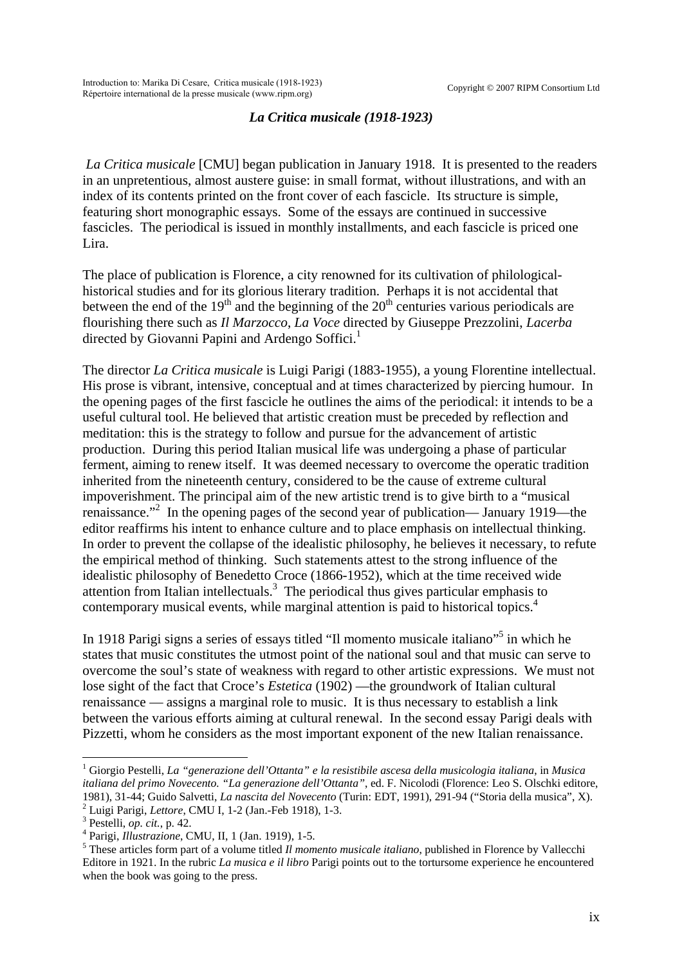## *La Critica musicale (1918-1923)*

*La Critica musicale* [CMU] began publication in January 1918. It is presented to the readers in an unpretentious, almost austere guise: in small format, without illustrations, and with an index of its contents printed on the front cover of each fascicle. Its structure is simple, featuring short monographic essays. Some of the essays are continued in successive fascicles. The periodical is issued in monthly installments, and each fascicle is priced one Lira.

The place of publication is Florence, a city renowned for its cultivation of philologicalhistorical studies and for its glorious literary tradition. Perhaps it is not accidental that between the end of the  $19<sup>th</sup>$  and the beginning of the  $20<sup>th</sup>$  centuries various periodicals are flourishing there such as *Il Marzocco*, *La Voce* directed by Giuseppe Prezzolini, *Lacerba* directed by Giovanni Papini and Ardengo Soffici.<sup>[1](#page-0-0)</sup>

The director *La Critica musicale* is Luigi Parigi (1883-1955), a young Florentine intellectual. His prose is vibrant, intensive, conceptual and at times characterized by piercing humour. In the opening pages of the first fascicle he outlines the aims of the periodical: it intends to be a useful cultural tool. He believed that artistic creation must be preceded by reflection and meditation: this is the strategy to follow and pursue for the advancement of artistic production. During this period Italian musical life was undergoing a phase of particular ferment, aiming to renew itself. It was deemed necessary to overcome the operatic tradition inherited from the nineteenth century, considered to be the cause of extreme cultural impoverishment. The principal aim of the new artistic trend is to give birth to a "musical renaissance."<sup>[2](#page-0-1)</sup> In the opening pages of the second year of publication— January 1919—the editor reaffirms his intent to enhance culture and to place emphasis on intellectual thinking. In order to prevent the collapse of the idealistic philosophy, he believes it necessary, to refute the empirical method of thinking. Such statements attest to the strong influence of the idealistic philosophy of Benedetto Croce (1866-1952), which at the time received wide attention from Italian intellectuals. $3$  The periodical thus gives particular emphasis to contemporary musical events, while marginal attention is paid to historical topics.<sup>[4](#page-0-3)</sup>

In 1918 Parigi signs a series of essays titled "Il momento musicale italiano"<sup>[5](#page-0-4)</sup> in which he states that music constitutes the utmost point of the national soul and that music can serve to overcome the soul's state of weakness with regard to other artistic expressions. We must not lose sight of the fact that Croce's *Estetica* (1902) —the groundwork of Italian cultural renaissance — assigns a marginal role to music. It is thus necessary to establish a link between the various efforts aiming at cultural renewal. In the second essay Parigi deals with Pizzetti, whom he considers as the most important exponent of the new Italian renaissance.

<span id="page-0-0"></span><sup>1</sup> Giorgio Pestelli, *La "generazione dell'Ottanta" e la resistibile ascesa della musicologia italiana*, in *Musica italiana del primo Novecento. "La generazione dell'Ottanta"*, ed. F. Nicolodi (Florence: Leo S. Olschki editore, 1981), 31-44; Guido Salvetti, *La nascita del Novecento* (Turin: EDT, 1991), 291-94 ("Storia della musica", X). 2 <sup>2</sup> Luigi Parigi, *Lettore*, CMU I, 1-2 (Jan.-Feb 1918), 1-3.

<span id="page-0-2"></span><span id="page-0-1"></span> $3$  Pestelli, *op. cit.*, p. 42.

<span id="page-0-3"></span>Parigi, *Illustrazione*, CMU, II, 1 (Jan. 1919), 1-5.<sup>5</sup>

<span id="page-0-4"></span><sup>&</sup>lt;sup>5</sup> These articles form part of a volume titled *Il momento musicale italiano*, published in Florence by Vallecchi Editore in 1921. In the rubric *La musica e il libro* Parigi points out to the tortursome experience he encountered when the book was going to the press.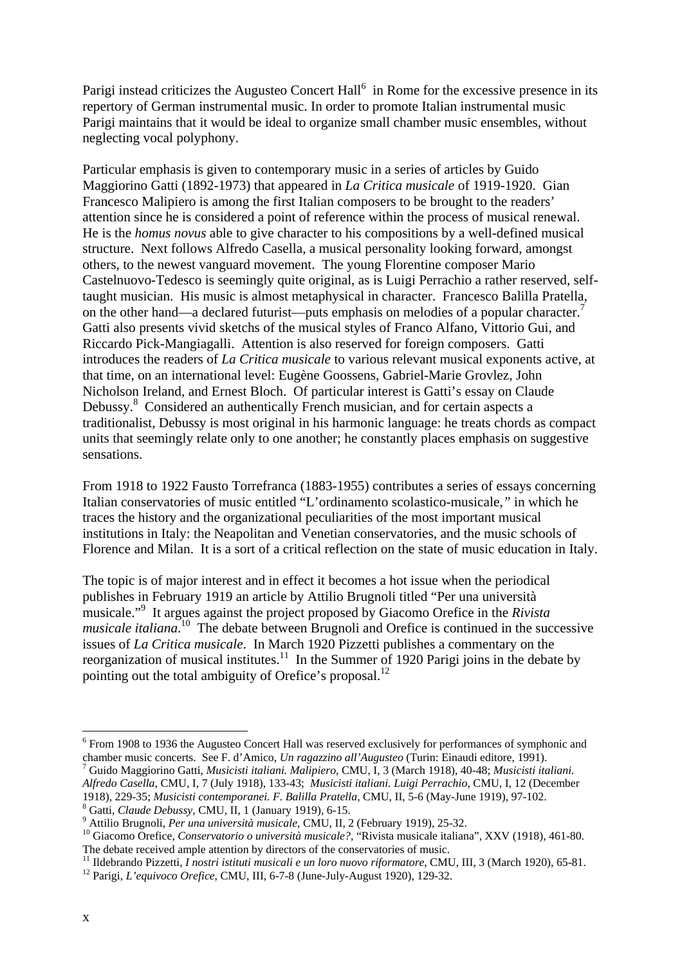Parigiinstead criticizes the Augusteo Concert  $Hall^{6}$  in Rome for the excessive presence in its repertory of German instrumental music. In order to promote Italian instrumental music Parigi maintains that it would be ideal to organize small chamber music ensembles, without neglecting vocal polyphony.

Particular emphasis is given to contemporary music in a series of articles by Guido Maggiorino Gatti (1892-1973) that appeared in *La Critica musicale* of 1919-1920. Gian Francesco Malipiero is among the first Italian composers to be brought to the readers' attention since he is considered a point of reference within the process of musical renewal. He is the *homus novus* able to give character to his compositions by a well-defined musical structure. Next follows Alfredo Casella, a musical personality looking forward, amongst others, to the newest vanguard movement. The young Florentine composer Mario Castelnuovo-Tedesco is seemingly quite original, as is Luigi Perrachio a rather reserved, selftaught musician. His music is almost metaphysical in character. Francesco Balilla Pratella, on the other hand—a declared futurist—puts emphasis on melodies of a popular character.<sup>7</sup> Gatti also presents vivid sketchs of the musical styles of Franco Alfano, Vittorio Gui, and Riccardo Pick-Mangiagalli. Attention is also reserved for foreign composers. Gatti introduces the readers of *La Critica musicale* to various relevant musical exponents active, at that time, on an international level: Eugène Goossens, Gabriel-Marie Grovlez, John Nicholson Ireland, and Ernest Bloch. Of particular interest is Gatti's essay on Claude Debussy.<sup>[8](#page-1-2)</sup> Considered an authentically French musician, and for certain aspects a traditionalist, Debussy is most original in his harmonic language: he treats chords as compact units that seemingly relate only to one another; he constantly places emphasis on suggestive sensations.

From 1918 to 1922 Fausto Torrefranca (1883-1955) contributes a series of essays concerning Italian conservatories of music entitled "L'ordinamento scolastico-musicale,*"* in which he traces the history and the organizational peculiarities of the most important musical institutions in Italy: the Neapolitan and Venetian conservatories, and the music schools of Florence and Milan. It is a sort of a critical reflection on the state of music education in Italy.

The topic is of major interest and in effect it becomes a hot issue when the periodical publishes in February 1919 an article by Attilio Brugnoli titled "Per una università musicale.["9](#page-1-3) It argues against the project proposed by Giacomo Orefice in the *Rivista musicale italiana*. [10](#page-1-4) The debate between Brugnoli and Orefice is continued in the successive issues of *La Critica musicale*. In March 1920 Pizzetti publishes a commentary on the reorganization of musical institutes.<sup>11</sup> In the Summer of 1920 Parigi joins in the debate by pointing out the total ambiguity of Orefice's proposal.<sup>12</sup>

 $\overline{a}$ 

<span id="page-1-0"></span><sup>&</sup>lt;sup>6</sup> From 1908 to 1936 the Augusteo Concert Hall was reserved exclusively for performances of symphonic and chamber music concerts. See F. d'Amico, *Un ragazzino all'Augusteo* (Turin: Einaudi editore, 1991). 7

<span id="page-1-1"></span>Guido Maggiorino Gatti, *Musicisti italiani. Malipiero*, CMU, I, 3 (March 1918), 40-48; *Musicisti italiani. Alfredo Casella*, CMU, I, 7 (July 1918), 133-43; *Musicisti italiani. Luigi Perrachio*, CMU, I, 12 (December 1918), 229-35; *Musicisti contemporanei. F. Balilla Pratella*, CMU, II, 5-6 (May-June 1919), 97-102. 8

<span id="page-1-2"></span>

<span id="page-1-3"></span><sup>9</sup> datti, *Claude Debussy*, Ch.C., **11**, 1 (valuary 1919), 211.<br><sup>9</sup> Attilio Brugnoli, *Per una università musicale*, CMU, II, 2 (February 1919), 25-32.

<span id="page-1-4"></span><sup>&</sup>lt;sup>10</sup> Giacomo Orefice, *Conservatorio o università musicale*?, "Rivista musicale italiana", XXV (1918), 461-80. The debate received ample attention by directors of the conservatories of music.

<span id="page-1-5"></span><sup>&</sup>lt;sup>11</sup> Ildebrando Pizzetti, *I nostri istituti musicali e un loro nuovo riformatore*, CMU, III, 3 (March 1920), 65-81.<br><sup>12</sup> Parigi, *L'equivoco Orefice*, CMU, III, 6-7-8 (June-July-August 1920), 129-32.

<span id="page-1-6"></span>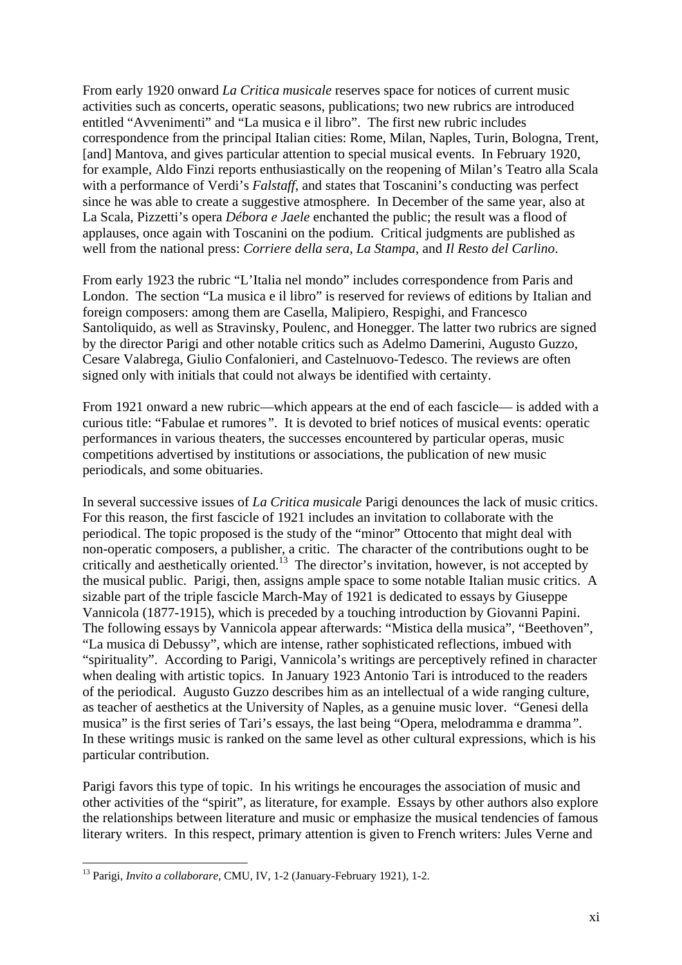From early 1920 onward *La Critica musicale* reserves space for notices of current music activities such as concerts, operatic seasons, publications; two new rubrics are introduced entitled "Avvenimenti" and "La musica e il libro". The first new rubric includes correspondence from the principal Italian cities: Rome, Milan, Naples, Turin, Bologna, Trent, [and] Mantova, and gives particular attention to special musical events. In February 1920, for example, Aldo Finzi reports enthusiastically on the reopening of Milan's Teatro alla Scala with a performance of Verdi's *Falstaff*, and states that Toscanini's conducting was perfect since he was able to create a suggestive atmosphere. In December of the same year, also at La Scala, Pizzetti's opera *Débora e Jaele* enchanted the public; the result was a flood of applauses, once again with Toscanini on the podium. Critical judgments are published as well from the national press: *Corriere della sera, La Stampa,* and *Il Resto del Carlino*.

From early 1923 the rubric "L'Italia nel mondo" includes correspondence from Paris and London. The section "La musica e il libro" is reserved for reviews of editions by Italian and foreign composers: among them are Casella, Malipiero, Respighi, and Francesco Santoliquido, as well as Stravinsky, Poulenc, and Honegger. The latter two rubrics are signed by the director Parigi and other notable critics such as Adelmo Damerini, Augusto Guzzo, Cesare Valabrega, Giulio Confalonieri, and Castelnuovo-Tedesco. The reviews are often signed only with initials that could not always be identified with certainty.

From 1921 onward a new rubric—which appears at the end of each fascicle— is added with a curious title: "Fabulae et rumores*"*. It is devoted to brief notices of musical events: operatic performances in various theaters, the successes encountered by particular operas, music competitions advertised by institutions or associations, the publication of new music periodicals, and some obituaries.

In several successive issues of *La Critica musicale* Parigi denounces the lack of music critics. For this reason, the first fascicle of 1921 includes an invitation to collaborate with the periodical. The topic proposed is the study of the "minor" Ottocento that might deal with non-operatic composers, a publisher, a critic. The character of the contributions ought to be critically and aesthetically oriented.<sup>13</sup> The director's invitation, however, is not accepted by the musical public. Parigi, then, assigns ample space to some notable Italian music critics. A sizable part of the triple fascicle March-May of 1921 is dedicated to essays by Giuseppe Vannicola (1877-1915), which is preceded by a touching introduction by Giovanni Papini. The following essays by Vannicola appear afterwards: "Mistica della musica", "Beethoven", "La musica di Debussy", which are intense, rather sophisticated reflections, imbued with "spirituality". According to Parigi, Vannicola's writings are perceptively refined in character when dealing with artistic topics. In January 1923 Antonio Tari is introduced to the readers of the periodical. Augusto Guzzo describes him as an intellectual of a wide ranging culture, as teacher of aesthetics at the University of Naples, as a genuine music lover. "Genesi della musica" is the first series of Tari's essays, the last being "Opera, melodramma e dramma*".*  In these writings music is ranked on the same level as other cultural expressions, which is his particular contribution.

Parigi favors this type of topic. In his writings he encourages the association of music and other activities of the "spirit", as literature, for example. Essays by other authors also explore the relationships between literature and music or emphasize the musical tendencies of famous literary writers. In this respect, primary attention is given to French writers: Jules Verne and

 $\overline{a}$ 

<span id="page-2-0"></span><sup>13</sup> Parigi, *Invito a collaborare*, CMU, IV, 1-2 (January-February 1921), 1-2.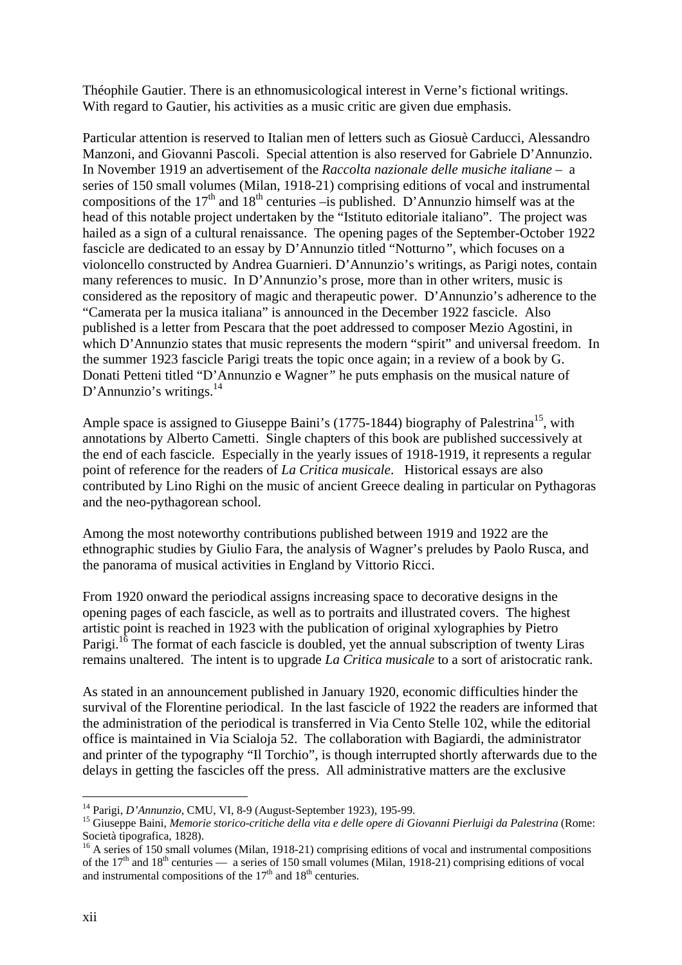Théophile Gautier. There is an ethnomusicological interest in Verne's fictional writings. With regard to Gautier, his activities as a music critic are given due emphasis.

Particular attention is reserved to Italian men of letters such as Giosuè Carducci, Alessandro Manzoni, and Giovanni Pascoli. Special attention is also reserved for Gabriele D'Annunzio. In November 1919 an advertisement of the *Raccolta nazionale delle musiche italiane* – a series of 150 small volumes (Milan, 1918-21) comprising editions of vocal and instrumental compositions of the  $17<sup>th</sup>$  and  $18<sup>th</sup>$  centuries –is published. D'Annunzio himself was at the head of this notable project undertaken by the "Istituto editoriale italiano". The project was hailed as a sign of a cultural renaissance. The opening pages of the September-October 1922 fascicle are dedicated to an essay by D'Annunzio titled "Notturno*"*, which focuses on a violoncello constructed by Andrea Guarnieri. D'Annunzio's writings, as Parigi notes, contain many references to music. In D'Annunzio's prose, more than in other writers, music is considered as the repository of magic and therapeutic power. D'Annunzio's adherence to the "Camerata per la musica italiana" is announced in the December 1922 fascicle. Also published is a letter from Pescara that the poet addressed to composer Mezio Agostini, in which D'Annunzio states that music represents the modern "spirit" and universal freedom. In the summer 1923 fascicle Parigi treats the topic once again; in a review of a book by G. Donati Petteni titled "D'Annunzio e Wagner*"* he puts emphasis on the musical nature of D'Annunzio's writings. $^{14}$ 

Ample space is assigned to Giuseppe Baini's (1775-1844) biography of Palestrina<sup>15</sup>, with annotations by Alberto Cametti. Single chapters of this book are published successively at the end of each fascicle. Especially in the yearly issues of 1918-1919, it represents a regular point of reference for the readers of *La Critica musicale*. Historical essays are also contributed by Lino Righi on the music of ancient Greece dealing in particular on Pythagoras and the neo-pythagorean school.

Among the most noteworthy contributions published between 1919 and 1922 are the ethnographic studies by Giulio Fara, the analysis of Wagner's preludes by Paolo Rusca, and the panorama of musical activities in England by Vittorio Ricci.

From 1920 onward the periodical assigns increasing space to decorative designs in the opening pages of each fascicle, as well as to portraits and illustrated covers. The highest artistic point is reached in 1923 with the publication of original xylographies by Pietro Parigi.<sup>16</sup> The format of each fascicle is doubled, yet the annual subscription of twenty Liras remains unaltered. The intent is to upgrade *La Critica musicale* to a sort of aristocratic rank.

As stated in an announcement published in January 1920, economic difficulties hinder the survival of the Florentine periodical. In the last fascicle of 1922 the readers are informed that the administration of the periodical is transferred in Via Cento Stelle 102, while the editorial office is maintained in Via Scialoja 52. The collaboration with Bagiardi, the administrator and printer of the typography "Il Torchio", is though interrupted shortly afterwards due to the delays in getting the fascicles off the press. All administrative matters are the exclusive

<span id="page-3-0"></span><sup>&</sup>lt;sup>14</sup> Parigi, *D'Annunzio*, CMU, VI, 8-9 (August-September 1923), 195-99.

<span id="page-3-1"></span><sup>&</sup>lt;sup>15</sup> Giuseppe Baini, *Memorie storico-critiche della vita e delle opere di Giovanni Pierluigi da Palestrina* (Rome: Società tipografica, 1828).<br><sup>16</sup> A series of 150 small volumes (Milan, 1918-21) comprising editions of vocal and instrumental compositions

<span id="page-3-2"></span>of the  $17<sup>th</sup>$  and  $18<sup>th</sup>$  centuries — a series of 150 small volumes (Milan, 1918-21) comprising editions of vocal and instrumental compositions of the  $17<sup>th</sup>$  and  $18<sup>th</sup>$  centuries.